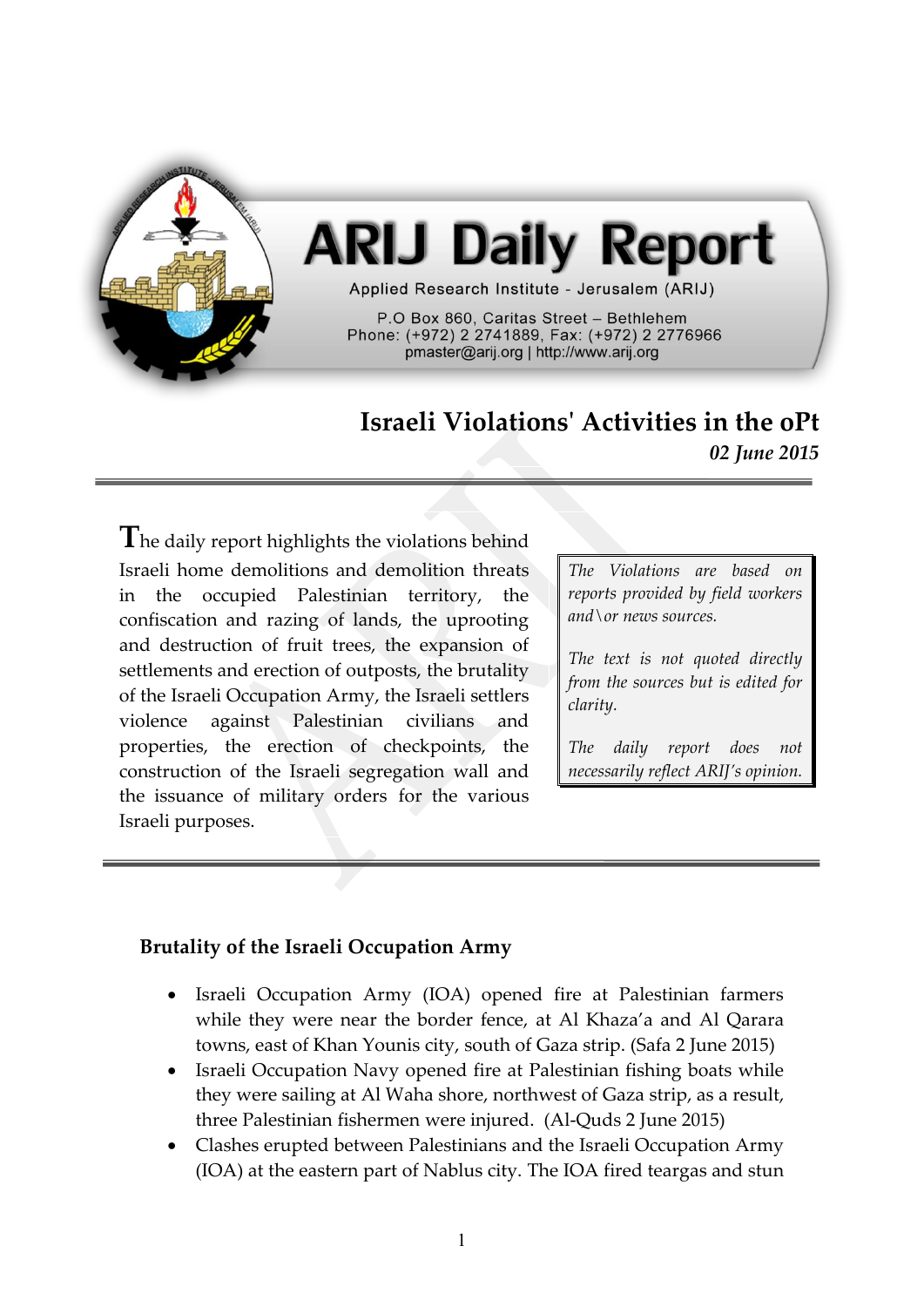

# **ARIJ Daily Report**

Applied Research Institute - Jerusalem (ARIJ)

P.O Box 860. Caritas Street - Bethlehem Phone: (+972) 2 2741889, Fax: (+972) 2 2776966 pmaster@arij.org | http://www.arij.org

# **Israeli Violations' Activities in the oPt** *02 June 2015*

The daily report highlights the violations behind Israeli home demolitions and demolition threats in the occupied Palestinian territory, the confiscation and razing of lands, the uprooting and destruction of fruit trees, the expansion of settlements and erection of outposts, the brutality of the Israeli Occupation Army, the Israeli settlers violence against Palestinian civilians and properties, the erection of checkpoints, the construction of the Israeli segregation wall and the issuance of military orders for the various Israeli purposes.

*The Violations are based on reports provided by field workers and\or news sources.*

*The text is not quoted directly from the sources but is edited for clarity.*

*The daily report does not necessarily reflect ARIJ's opinion.*

# **Brutality of the Israeli Occupation Army**

- Israeli Occupation Army (IOA) opened fire at Palestinian farmers while they were near the border fence, at Al Khaza'a and Al Qarara towns, east of Khan Younis city, south of Gaza strip. (Safa 2 June 2015)
- Israeli Occupation Navy opened fire at Palestinian fishing boats while they were sailing at Al Waha shore, northwest of Gaza strip, as a result, three Palestinian fishermen were injured. (Al-Quds 2 June 2015)
- Clashes erupted between Palestinians and the Israeli Occupation Army (IOA) at the eastern part of Nablus city. The IOA fired teargas and stun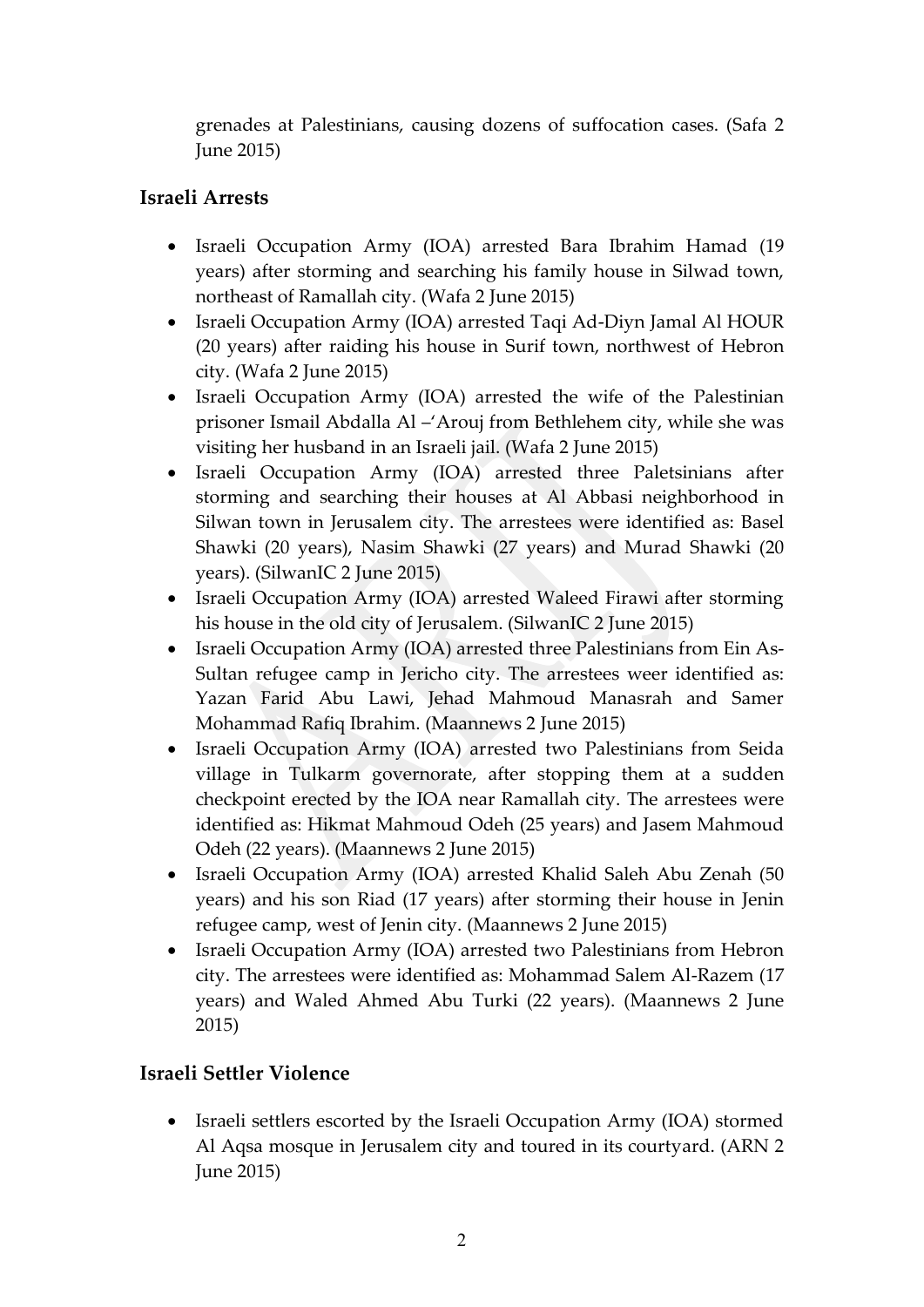grenades at Palestinians, causing dozens of suffocation cases. (Safa 2 June 2015)

# **Israeli Arrests**

- Israeli Occupation Army (IOA) arrested Bara Ibrahim Hamad (19 years) after storming and searching his family house in Silwad town, northeast of Ramallah city. (Wafa 2 June 2015)
- Israeli Occupation Army (IOA) arrested Taqi Ad-Diyn Jamal Al HOUR (20 years) after raiding his house in Surif town, northwest of Hebron city. (Wafa 2 June 2015)
- Israeli Occupation Army (IOA) arrested the wife of the Palestinian prisoner Ismail Abdalla Al –'Arouj from Bethlehem city, while she was visiting her husband in an Israeli jail. (Wafa 2 June 2015)
- Israeli Occupation Army (IOA) arrested three Paletsinians after storming and searching their houses at Al Abbasi neighborhood in Silwan town in Jerusalem city. The arrestees were identified as: Basel Shawki (20 years), Nasim Shawki (27 years) and Murad Shawki (20 years). (SilwanIC 2 June 2015)
- Israeli Occupation Army (IOA) arrested Waleed Firawi after storming his house in the old city of Jerusalem. (SilwanIC 2 June 2015)
- Israeli Occupation Army (IOA) arrested three Palestinians from Ein As-Sultan refugee camp in Jericho city. The arrestees weer identified as: Yazan Farid Abu Lawi, Jehad Mahmoud Manasrah and Samer Mohammad Rafiq Ibrahim. (Maannews 2 June 2015)
- Israeli Occupation Army (IOA) arrested two Palestinians from Seida village in Tulkarm governorate, after stopping them at a sudden checkpoint erected by the IOA near Ramallah city. The arrestees were identified as: Hikmat Mahmoud Odeh (25 years) and Jasem Mahmoud Odeh (22 years). (Maannews 2 June 2015)
- Israeli Occupation Army (IOA) arrested Khalid Saleh Abu Zenah (50 years) and his son Riad (17 years) after storming their house in Jenin refugee camp, west of Jenin city. (Maannews 2 June 2015)
- Israeli Occupation Army (IOA) arrested two Palestinians from Hebron city. The arrestees were identified as: Mohammad Salem Al-Razem (17 years) and Waled Ahmed Abu Turki (22 years). (Maannews 2 June 2015)

# **Israeli Settler Violence**

• Israeli settlers escorted by the Israeli Occupation Army (IOA) stormed Al Aqsa mosque in Jerusalem city and toured in its courtyard. (ARN 2 June 2015)